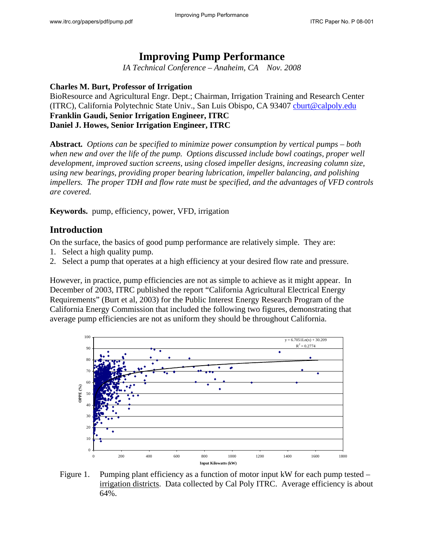# **Improving Pump Performance**

*IA Technical Conference – Anaheim, CA Nov. 2008* 

### **Charles M. Burt, Professor of Irrigation**

BioResource and Agricultural Engr. Dept.; Chairman, Irrigation Training and Research Center (ITRC), California Polytechnic State Univ., San Luis Obispo, CA 93407 [cburt@calpoly.edu](mailto:cburt@calpoly.edu) **Franklin Gaudi, Senior Irrigation Engineer, ITRC Daniel J. Howes, Senior Irrigation Engineer, ITRC** 

**Abstract***. Options can be specified to minimize power consumption by vertical pumps – both when new and over the life of the pump. Options discussed include bowl coatings, proper well development, improved suction screens, using closed impeller designs, increasing column size, using new bearings, providing proper bearing lubrication, impeller balancing, and polishing impellers. The proper TDH and flow rate must be specified, and the advantages of VFD controls are covered.*

**Keywords.** pump, efficiency, power, VFD, irrigation

## **Introduction**

On the surface, the basics of good pump performance are relatively simple. They are:

- 1. Select a high quality pump.
- 2. Select a pump that operates at a high efficiency at your desired flow rate and pressure.

However, in practice, pump efficiencies are not as simple to achieve as it might appear. In December of 2003, ITRC published the report "California Agricultural Electrical Energy Requirements" (Burt et al, 2003) for the Public Interest Energy Research Program of the California Energy Commission that included the following two figures, demonstrating that average pump efficiencies are not as uniform they should be throughout California.



Figure 1. Pumping plant efficiency as a function of motor input kW for each pump tested – irrigation districts. Data collected by Cal Poly ITRC. Average efficiency is about 64%.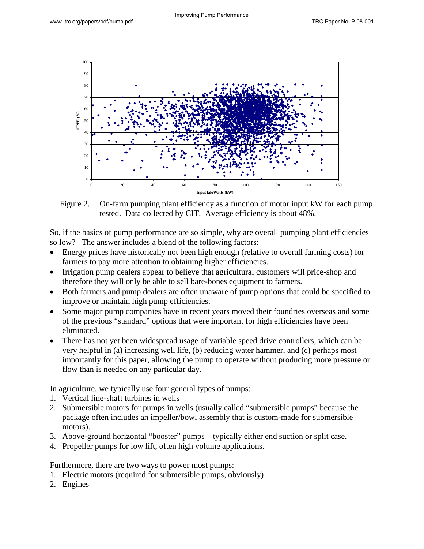

Figure 2. On-farm pumping plant efficiency as a function of motor input kW for each pump tested. Data collected by CIT. Average efficiency is about 48%.

So, if the basics of pump performance are so simple, why are overall pumping plant efficiencies so low? The answer includes a blend of the following factors:

- Energy prices have historically not been high enough (relative to overall farming costs) for farmers to pay more attention to obtaining higher efficiencies.
- Irrigation pump dealers appear to believe that agricultural customers will price-shop and therefore they will only be able to sell bare-bones equipment to farmers.
- Both farmers and pump dealers are often unaware of pump options that could be specified to improve or maintain high pump efficiencies.
- Some major pump companies have in recent years moved their foundries overseas and some of the previous "standard" options that were important for high efficiencies have been eliminated.
- There has not yet been widespread usage of variable speed drive controllers, which can be very helpful in (a) increasing well life, (b) reducing water hammer, and (c) perhaps most importantly for this paper, allowing the pump to operate without producing more pressure or flow than is needed on any particular day.

In agriculture, we typically use four general types of pumps:

- 1. Vertical line-shaft turbines in wells
- 2. Submersible motors for pumps in wells (usually called "submersible pumps" because the package often includes an impeller/bowl assembly that is custom-made for submersible motors).
- 3. Above-ground horizontal "booster" pumps typically either end suction or split case.
- 4. Propeller pumps for low lift, often high volume applications.

Furthermore, there are two ways to power most pumps:

- 1. Electric motors (required for submersible pumps, obviously)
- 2. Engines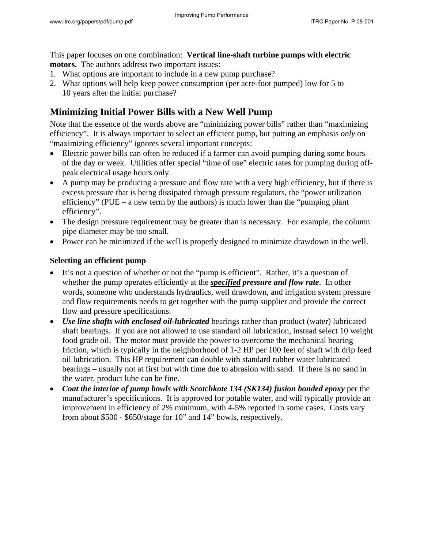This paper focuses on one combination: **Vertical line-shaft turbine pumps with electric motors.** The authors address two important issues:

- 1. What options are important to include in a new pump purchase?
- 2. What options will help keep power consumption (per acre-foot pumped) low for 5 to 10 years after the initial purchase?

# **Minimizing Initial Power Bills with a New Well Pump**

Note that the essence of the words above are "minimizing power bills" rather than "maximizing efficiency". It is always important to select an efficient pump, but putting an emphasis *only* on "maximizing efficiency" ignores several important concepts:

- Electric power bills can often be reduced if a farmer can avoid pumping during some hours of the day or week. Utilities offer special "time of use" electric rates for pumping during offpeak electrical usage hours only.
- A pump may be producing a pressure and flow rate with a very high efficiency, but if there is excess pressure that is being dissipated through pressure regulators, the "power utilization efficiency" (PUE – a new term by the authors) is much lower than the "pumping plant efficiency".
- The design pressure requirement may be greater than is necessary. For example, the column pipe diameter may be too small.
- Power can be minimized if the well is properly designed to minimize drawdown in the well.

## **Selecting an efficient pump**

- It's not a question of whether or not the "pump is efficient". Rather, it's a question of whether the pump operates efficiently at the *specified pressure and flow rate*. In other words, someone who understands hydraulics, well drawdown, and irrigation system pressure and flow requirements needs to get together with the pump supplier and provide the correct flow and pressure specifications.
- *Use line shafts with enclosed oil-lubricated* bearings rather than product (water) lubricated shaft bearings. If you are not allowed to use standard oil lubrication, instead select 10 weight food grade oil. The motor must provide the power to overcome the mechanical bearing friction, which is typically in the neighborhood of 1-2 HP per 100 feet of shaft with drip feed oil lubrication. This HP requirement can double with standard rubber water lubricated bearings – usually not at first but with time due to abrasion with sand. If there is no sand in the water, product lube can be fine.
- *Coat the interior of pump bowls with Scotchkote 134 (SK134) fusion bonded epoxy per the* manufacturer's specifications. It is approved for potable water, and will typically provide an improvement in efficiency of 2% minimum, with 4-5% reported in some cases. Costs vary from about \$500 - \$650/stage for 10" and 14" bowls, respectively.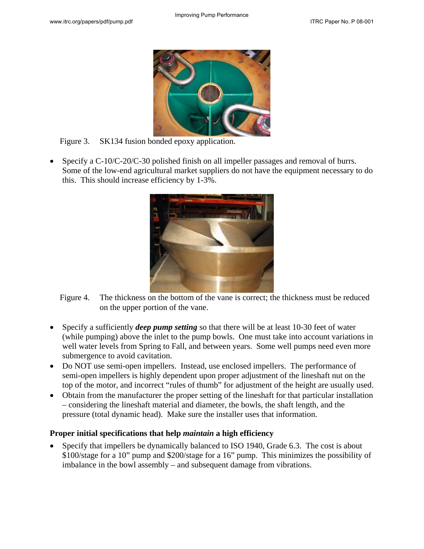

Figure 3. SK134 fusion bonded epoxy application.

• Specify a C-10/C-20/C-30 polished finish on all impeller passages and removal of burrs. Some of the low-end agricultural market suppliers do not have the equipment necessary to do this. This should increase efficiency by 1-3%.



Figure 4. The thickness on the bottom of the vane is correct; the thickness must be reduced on the upper portion of the vane.

- Specify a sufficiently *deep pump setting* so that there will be at least 10-30 feet of water (while pumping) above the inlet to the pump bowls. One must take into account variations in well water levels from Spring to Fall, and between years. Some well pumps need even more submergence to avoid cavitation.
- Do NOT use semi-open impellers. Instead, use enclosed impellers. The performance of semi-open impellers is highly dependent upon proper adjustment of the lineshaft nut on the top of the motor, and incorrect "rules of thumb" for adjustment of the height are usually used.
- Obtain from the manufacturer the proper setting of the lineshaft for that particular installation – considering the lineshaft material and diameter, the bowls, the shaft length, and the pressure (total dynamic head). Make sure the installer uses that information.

### **Proper initial specifications that help** *maintain* **a high efficiency**

• Specify that impellers be dynamically balanced to ISO 1940, Grade 6.3. The cost is about \$100/stage for a 10" pump and \$200/stage for a 16" pump. This minimizes the possibility of imbalance in the bowl assembly – and subsequent damage from vibrations.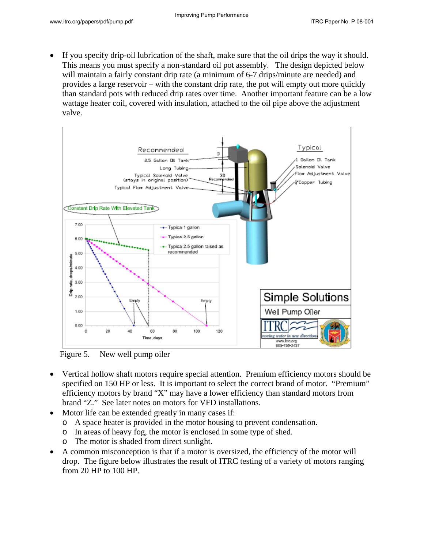If you specify drip-oil lubrication of the shaft, make sure that the oil drips the way it should. This means you must specify a non-standard oil pot assembly. The design depicted below will maintain a fairly constant drip rate (a minimum of 6-7 drips/minute are needed) and provides a large reservoir – with the constant drip rate, the pot will empty out more quickly than standard pots with reduced drip rates over time. Another important feature can be a low wattage heater coil, covered with insulation, attached to the oil pipe above the adjustment valve.



Figure 5. New well pump oiler

- Vertical hollow shaft motors require special attention. Premium efficiency motors should be specified on 150 HP or less. It is important to select the correct brand of motor. "Premium" efficiency motors by brand "X" may have a lower efficiency than standard motors from brand "Z." See later notes on motors for VFD installations.
- Motor life can be extended greatly in many cases if:
	- o A space heater is provided in the motor housing to prevent condensation.
	- o In areas of heavy fog, the motor is enclosed in some type of shed.
	- o The motor is shaded from direct sunlight.
- A common misconception is that if a motor is oversized, the efficiency of the motor will drop. The figure below illustrates the result of ITRC testing of a variety of motors ranging from 20 HP to 100 HP.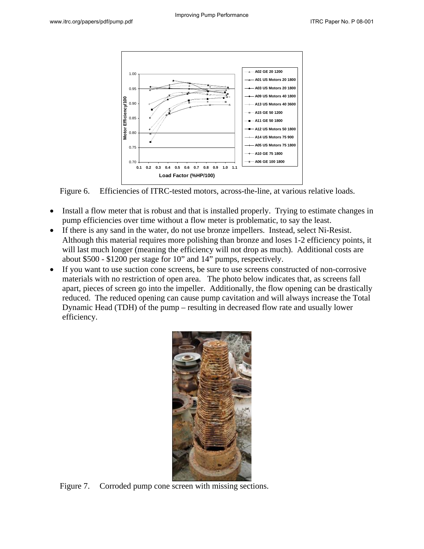

Figure 6. Efficiencies of ITRC-tested motors, across-the-line, at various relative loads.

- Install a flow meter that is robust and that is installed properly. Trying to estimate changes in pump efficiencies over time without a flow meter is problematic, to say the least.
- If there is any sand in the water, do not use bronze impellers. Instead, select Ni-Resist. Although this material requires more polishing than bronze and loses 1-2 efficiency points, it will last much longer (meaning the efficiency will not drop as much). Additional costs are about \$500 - \$1200 per stage for 10" and 14" pumps, respectively.
- If you want to use suction cone screens, be sure to use screens constructed of non-corrosive materials with no restriction of open area. The photo below indicates that, as screens fall apart, pieces of screen go into the impeller. Additionally, the flow opening can be drastically reduced. The reduced opening can cause pump cavitation and will always increase the Total Dynamic Head (TDH) of the pump – resulting in decreased flow rate and usually lower efficiency.



Figure 7. Corroded pump cone screen with missing sections.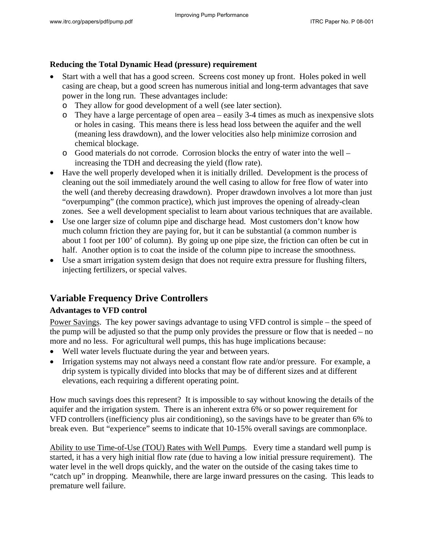### **Reducing the Total Dynamic Head (pressure) requirement**

- Start with a well that has a good screen. Screens cost money up front. Holes poked in well casing are cheap, but a good screen has numerous initial and long-term advantages that save power in the long run. These advantages include:
	- o They allow for good development of a well (see later section).
	- $\circ$  They have a large percentage of open area easily 3-4 times as much as inexpensive slots (meaning less drawdown), and the lower velocities also help minimize corrosion and or holes in casing. This means there is less head loss between the aquifer and the well chemical blockage.
	- o Good materials do not corrode. Corrosion blocks the entry of water into the well increasing the TDH and decreasing the yield (flow rate).
- the well (and thereby decreasing drawdown). Proper drawdown involves a lot more than just zones. See a well development specialist to learn about various techniques that are available. • Have the well properly developed when it is initially drilled. Development is the process of cleaning out the soil immediately around the well casing to allow for free flow of water into "overpumping" (the common practice), which just improves the opening of already-clean
- about 1 foot per 100' of column). By going up one pipe size, the friction can often be cut in • Use one larger size of column pipe and discharge head. Most customers don't know how much column friction they are paying for, but it can be substantial (a common number is half. Another option is to coat the inside of the column pipe to increase the smoothness.
- Use a smart irrigation system design that does not require extra pressure for flushing filters, injecting fertilizers, or special valves.

# **Variable Frequency Drive Controllers**

## **Advantages to VFD control**

Power Savings. The key power savings advantage to using VFD control is simple – the speed of the pump will be adjusted so that the pump only provides the pressure or flow that is needed – no more and no less. For agricultural well pumps, this has huge implications because:

- Well water levels fluctuate during the year and between years.
- Irrigation systems may not always need a constant flow rate and/or pressure. For example, a drip system is typically divided into blocks that may be of different sizes and at different elevations, each requiring a different operating point.

How much savings does this represent? It is impossible to say without knowing the details of the break even. But "experience" seems to indicate that 10-15% overall savings are commonplace. aquifer and the irrigation system. There is an inherent extra 6% or so power requirement for VFD controllers (inefficiency plus air conditioning), so the savings have to be greater than 6% to

Ability to use Time-of-Use (TOU) Rates with Well Pumps. Every time a standard well pump is started, it has a very high initial flow rate (due to having a low initial pressure requirement). T he water level in the well drops quickly, and the water on the outside of the casing takes time to "catch up" in dropping. M eanwhile, there are large inward pressures on the casing. This leads to premature well failure.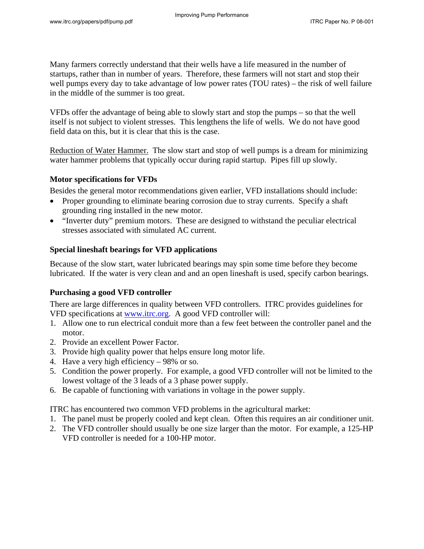Many farmers correctly understand that their wells have a life measured in the number of startups, rather than in number of years. Therefore, these farmers will not start and stop their well pumps every day to take advantage of low power rates (TOU rates) – the risk of well failure in the middle of the summer is too great.

itself is not subject to violent stresses. This lengthens the life of wells. We do not have good field data on this, but it is clear that this is the case. VFDs offer the advantage of being able to slowly start and stop the pumps – so that the well

Reduction of Water Hammer. The slow start and stop of well pumps is a dream for minimizing water hammer problems that typically occur during rapid startup. Pipes fill up slowly.

## **Motor specifications for VFDs**

Besides the general motor recommendations given earlier, VFD installations should include:

- Proper grounding to eliminate bearing corrosion due to stray currents. Specify a shaft grounding ring installed in the new motor.
- "Inverter duty" premium motors. These are designed to withstand the peculiar electrical stresses associated with simulated AC current.

### **Special lineshaft bearings for VFD applications**

lubricated. If the water is very clean and and an open lineshaft is used, specify carbon bearings. Because of the slow start, water lubricated bearings may spin some time before they become

### **Purchasing a good VFD controller**

There are large differences in quality between VFD controllers. ITRC provides guidelines for VFD specifications at www.itrc.org. A good VFD controller will:

- 1. Allow one to run electrical conduit more than a few feet between the controller panel and the motor.
- 2. Provide an excellent Power Factor.
- 3. Provide high quality power that helps ensure long motor life.
- 4. Have a very high efficiency 98% or so.
- 5. Condition the power properly. For example, a good VFD controller will not be limited to the lowest voltage of the 3 leads of a 3 phase power supply.
- . Be capable of functioning with variations in voltage in the power supply. 6

ITRC has encountered two common VFD problems in the agricultural market:

- 1. The panel must be properly cooled and kept clean. Often this requires an air conditioner unit.
- 2. The VFD controller should usually be one size larger than the motor. For example, a 125-HP VFD controller is needed for a 100-HP motor.